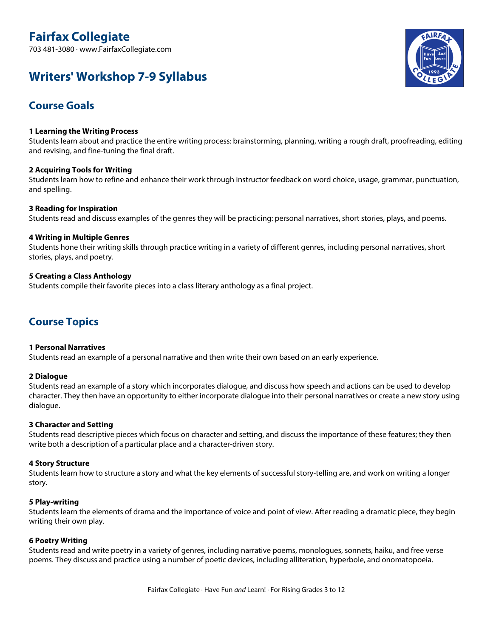# **Fairfax Collegiate**

703 481-3080 · www.FairfaxCollegiate.com

# **Writers' Workshop 7-9 Syllabus**



## **Course Goals**

## **1 Learning the Writing Process**

Students learn about and practice the entire writing process: brainstorming, planning, writing a rough draft, proofreading, editing and revising, and fine-tuning the final draft.

## **2 Acquiring Tools for Writing**

Students learn how to refine and enhance their work through instructor feedback on word choice, usage, grammar, punctuation, and spelling.

## **3 Reading for Inspiration**

Students read and discuss examples of the genres they will be practicing: personal narratives, short stories, plays, and poems.

## **4 Writing in Multiple Genres**

Students hone their writing skills through practice writing in a variety of different genres, including personal narratives, short stories, plays, and poetry.

## **5 Creating a Class Anthology**

Students compile their favorite pieces into a class literary anthology as a final project.

## **Course Topics**

## **1 Personal Narratives**

Students read an example of a personal narrative and then write their own based on an early experience.

## **2 Dialogue**

Students read an example of a story which incorporates dialogue, and discuss how speech and actions can be used to develop character. They then have an opportunity to either incorporate dialogue into their personal narratives or create a new story using dialogue.

## **3 Character and Setting**

Students read descriptive pieces which focus on character and setting, and discuss the importance of these features; they then write both a description of a particular place and a character-driven story.

## **4 Story Structure**

Students learn how to structure a story and what the key elements of successful story-telling are, and work on writing a longer story.

## **5 Play-writing**

Students learn the elements of drama and the importance of voice and point of view. After reading a dramatic piece, they begin writing their own play.

## **6 Poetry Writing**

Students read and write poetry in a variety of genres, including narrative poems, monologues, sonnets, haiku, and free verse poems. They discuss and practice using a number of poetic devices, including alliteration, hyperbole, and onomatopoeia.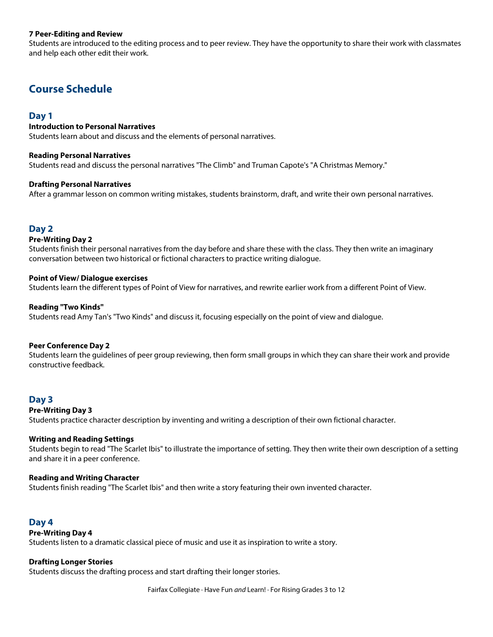## **7 Peer-Editing and Review**

Students are introduced to the editing process and to peer review. They have the opportunity to share their work with classmates and help each other edit their work.

## **Course Schedule**

## **Day 1**

#### **Introduction to Personal Narratives**

Students learn about and discuss and the elements of personal narratives.

#### **Reading Personal Narratives**

Students read and discuss the personal narratives "The Climb" and Truman Capote's "A Christmas Memory."

#### **Drafting Personal Narratives**

After a grammar lesson on common writing mistakes, students brainstorm, draft, and write their own personal narratives.

## **Day 2**

#### **Pre-Writing Day 2**

Students finish their personal narratives from the day before and share these with the class. They then write an imaginary conversation between two historical or fictional characters to practice writing dialogue.

#### **Point of View/ Dialogue exercises**

Students learn the different types of Point of View for narratives, and rewrite earlier work from a different Point of View.

#### **Reading "Two Kinds"**

Students read Amy Tan's "Two Kinds" and discuss it, focusing especially on the point of view and dialogue.

#### **Peer Conference Day 2**

Students learn the guidelines of peer group reviewing, then form small groups in which they can share their work and provide constructive feedback.

## **Day 3**

#### **Pre-Writing Day 3**

Students practice character description by inventing and writing a description of their own fictional character.

#### **Writing and Reading Settings**

Students begin to read "The Scarlet Ibis" to illustrate the importance of setting. They then write their own description of a setting and share it in a peer conference.

#### **Reading and Writing Character**

Students finish reading "The Scarlet Ibis" and then write a story featuring their own invented character.

## **Day 4**

#### **Pre-Writing Day 4**

Students listen to a dramatic classical piece of music and use it as inspiration to write a story.

#### **Drafting Longer Stories**

Students discuss the drafting process and start drafting their longer stories.

Fairfax Collegiate · Have Fun *and* Learn! · For Rising Grades 3 to 12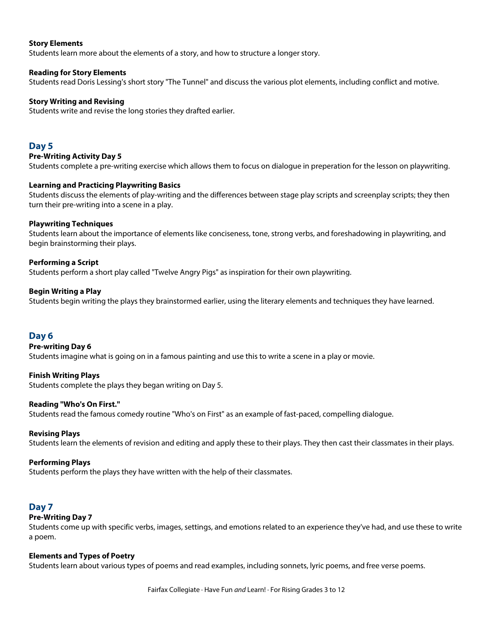## **Story Elements**

Students learn more about the elements of a story, and how to structure a longer story.

#### **Reading for Story Elements**

Students read Doris Lessing's short story "The Tunnel" and discuss the various plot elements, including conflict and motive.

#### **Story Writing and Revising**

Students write and revise the long stories they drafted earlier.

## **Day 5**

#### **Pre-Writing Activity Day 5**

Students complete a pre-writing exercise which allows them to focus on dialogue in preperation for the lesson on playwriting.

#### **Learning and Practicing Playwriting Basics**

Students discuss the elements of play-writing and the differences between stage play scripts and screenplay scripts; they then turn their pre-writing into a scene in a play.

#### **Playwriting Techniques**

Students learn about the importance of elements like conciseness, tone, strong verbs, and foreshadowing in playwriting, and begin brainstorming their plays.

#### **Performing a Script**

Students perform a short play called "Twelve Angry Pigs" as inspiration for their own playwriting.

#### **Begin Writing a Play**

Students begin writing the plays they brainstormed earlier, using the literary elements and techniques they have learned.

## **Day 6**

#### **Pre-writing Day 6**

Students imagine what is going on in a famous painting and use this to write a scene in a play or movie.

#### **Finish Writing Plays**

Students complete the plays they began writing on Day 5.

#### **Reading "Who's On First."**

Students read the famous comedy routine "Who's on First" as an example of fast-paced, compelling dialogue.

#### **Revising Plays**

Students learn the elements of revision and editing and apply these to their plays. They then cast their classmates in their plays.

#### **Performing Plays**

Students perform the plays they have written with the help of their classmates.

## **Day 7**

#### **Pre-Writing Day 7**

Students come up with specific verbs, images, settings, and emotions related to an experience they've had, and use these to write a poem.

#### **Elements and Types of Poetry**

Students learn about various types of poems and read examples, including sonnets, lyric poems, and free verse poems.

Fairfax Collegiate · Have Fun *and* Learn! · For Rising Grades 3 to 12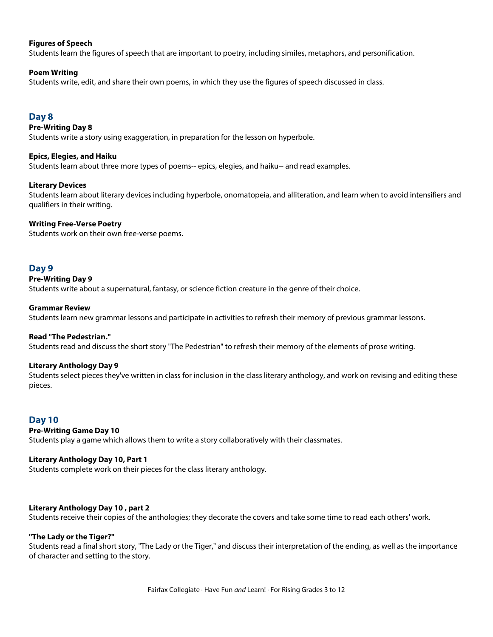## **Figures of Speech**

Students learn the figures of speech that are important to poetry, including similes, metaphors, and personification.

## **Poem Writing**

Students write, edit, and share their own poems, in which they use the figures of speech discussed in class.

## **Day 8**

## **Pre-Writing Day 8**

Students write a story using exaggeration, in preparation for the lesson on hyperbole.

## **Epics, Elegies, and Haiku**

Students learn about three more types of poems-- epics, elegies, and haiku-- and read examples.

## **Literary Devices**

Students learn about literary devices including hyperbole, onomatopeia, and alliteration, and learn when to avoid intensifiers and qualifiers in their writing.

## **Writing Free-Verse Poetry**

Students work on their own free-verse poems.

## **Day 9**

## **Pre-Writing Day 9**

Students write about a supernatural, fantasy, or science fiction creature in the genre of their choice.

#### **Grammar Review**

Students learn new grammar lessons and participate in activities to refresh their memory of previous grammar lessons.

## **Read "The Pedestrian."**

Students read and discuss the short story "The Pedestrian" to refresh their memory of the elements of prose writing.

## **Literary Anthology Day 9**

Students select pieces they've written in class for inclusion in the class literary anthology, and work on revising and editing these pieces.

## **Day 10**

## **Pre-Writing Game Day 10**

Students play a game which allows them to write a story collaboratively with their classmates.

## **Literary Anthology Day 10, Part 1**

Students complete work on their pieces for the class literary anthology.

## **Literary Anthology Day 10 , part 2**

Students receive their copies of the anthologies; they decorate the covers and take some time to read each others' work.

## **"The Lady or the Tiger?"**

Students read a final short story, "The Lady or the Tiger," and discuss their interpretation of the ending, as well as the importance of character and setting to the story.